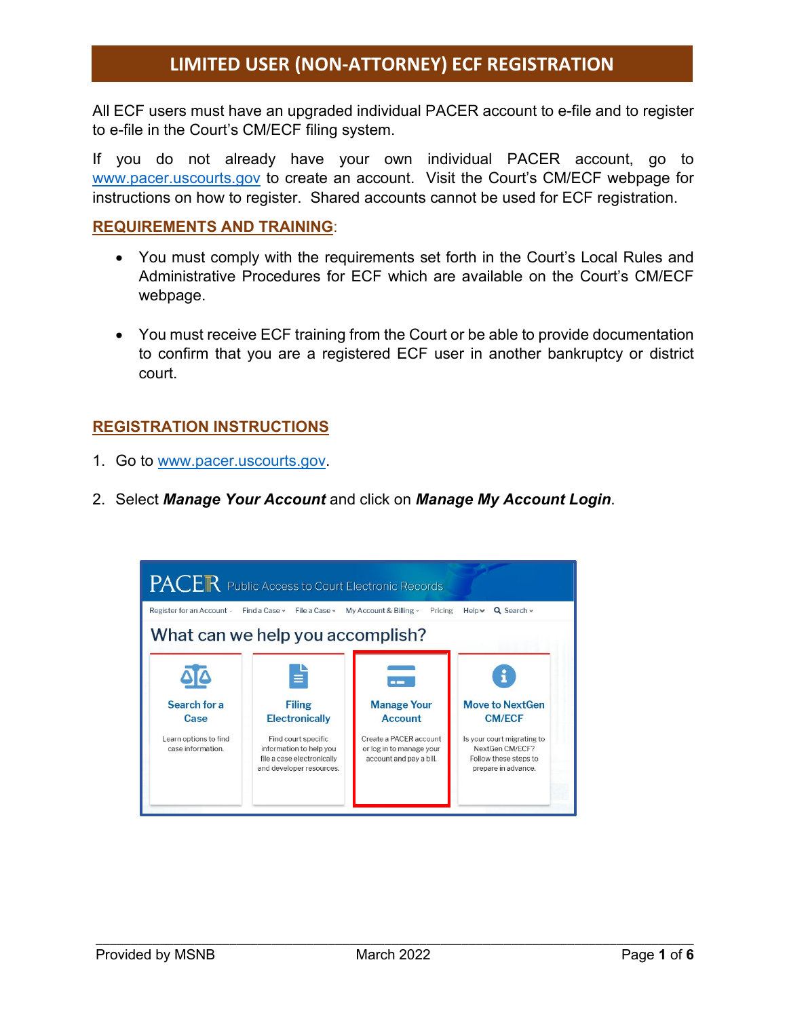All ECF users must have an upgraded individual PACER account to e-file and to register to e-file in the Court's CM/ECF filing system.

If you do not already have your own individual PACER account, go to [www.pacer.uscourts.gov](http://www.pacer.uscourts.gov/) to create an account. Visit the Court's CM/ECF webpage for instructions on how to register. Shared accounts cannot be used for ECF registration.

#### **REQUIREMENTS AND TRAINING**:

- You must comply with the requirements set forth in the Court's Local Rules and Administrative Procedures for ECF which are available on the Court's CM/ECF webpage.
- You must receive ECF training from the Court or be able to provide documentation to confirm that you are a registered ECF user in another bankruptcy or district court.

### **REGISTRATION INSTRUCTIONS**

- 1. Go to [www.pacer.uscourts.gov.](http://www.pacer.uscourts.gov/)
- 2. Select *Manage Your Account* and click on *Manage My Account Login*.

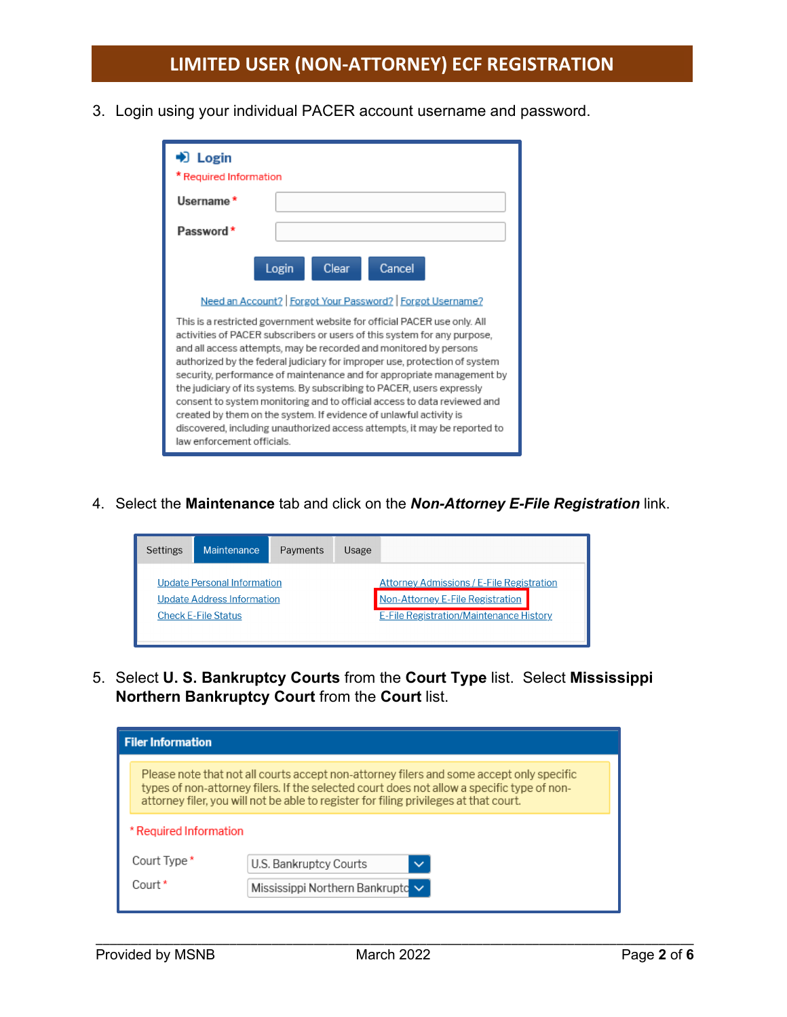3. Login using your individual PACER account username and password.

| $\bigstar$ Login<br>Required Information                                                                                                                                                                                                                                                                                                                                                                                                                                                                                                                                                                                                                                                                                 |
|--------------------------------------------------------------------------------------------------------------------------------------------------------------------------------------------------------------------------------------------------------------------------------------------------------------------------------------------------------------------------------------------------------------------------------------------------------------------------------------------------------------------------------------------------------------------------------------------------------------------------------------------------------------------------------------------------------------------------|
| Username *                                                                                                                                                                                                                                                                                                                                                                                                                                                                                                                                                                                                                                                                                                               |
| Password *                                                                                                                                                                                                                                                                                                                                                                                                                                                                                                                                                                                                                                                                                                               |
| Cancel<br>Clear<br>Login                                                                                                                                                                                                                                                                                                                                                                                                                                                                                                                                                                                                                                                                                                 |
| Need an Account?   Forgot Your Password?   Forgot Username?                                                                                                                                                                                                                                                                                                                                                                                                                                                                                                                                                                                                                                                              |
| This is a restricted government website for official PACER use only. All<br>activities of PACER subscribers or users of this system for any purpose,<br>and all access attempts, may be recorded and monitored by persons<br>authorized by the federal judiciary for improper use, protection of system<br>security, performance of maintenance and for appropriate management by<br>the judiciary of its systems. By subscribing to PACER, users expressly<br>consent to system monitoring and to official access to data reviewed and<br>created by them on the system. If evidence of unlawful activity is<br>discovered, including unauthorized access attempts, it may be reported to<br>law enforcement officials. |

4. Select the **Maintenance** tab and click on the *Non-Attorney E-File Registration* link.



5. Select **U. S. Bankruptcy Courts** from the **Court Type** list. Select **Mississippi Northern Bankruptcy Court** from the **Court** list.

| <b>Filer Information</b> |                                                                                                                                                                                                                                                                                 |                                        |  |  |  |
|--------------------------|---------------------------------------------------------------------------------------------------------------------------------------------------------------------------------------------------------------------------------------------------------------------------------|----------------------------------------|--|--|--|
|                          | Please note that not all courts accept non-attorney filers and some accept only specific<br>types of non-attorney filers. If the selected court does not allow a specific type of non-<br>attorney filer, you will not be able to register for filing privileges at that court. |                                        |  |  |  |
| * Required Information   |                                                                                                                                                                                                                                                                                 |                                        |  |  |  |
|                          | Court Type *                                                                                                                                                                                                                                                                    | U.S. Bankruptcy Courts<br>$\checkmark$ |  |  |  |
|                          | Court *                                                                                                                                                                                                                                                                         | Mississippi Northern Bankruptc V       |  |  |  |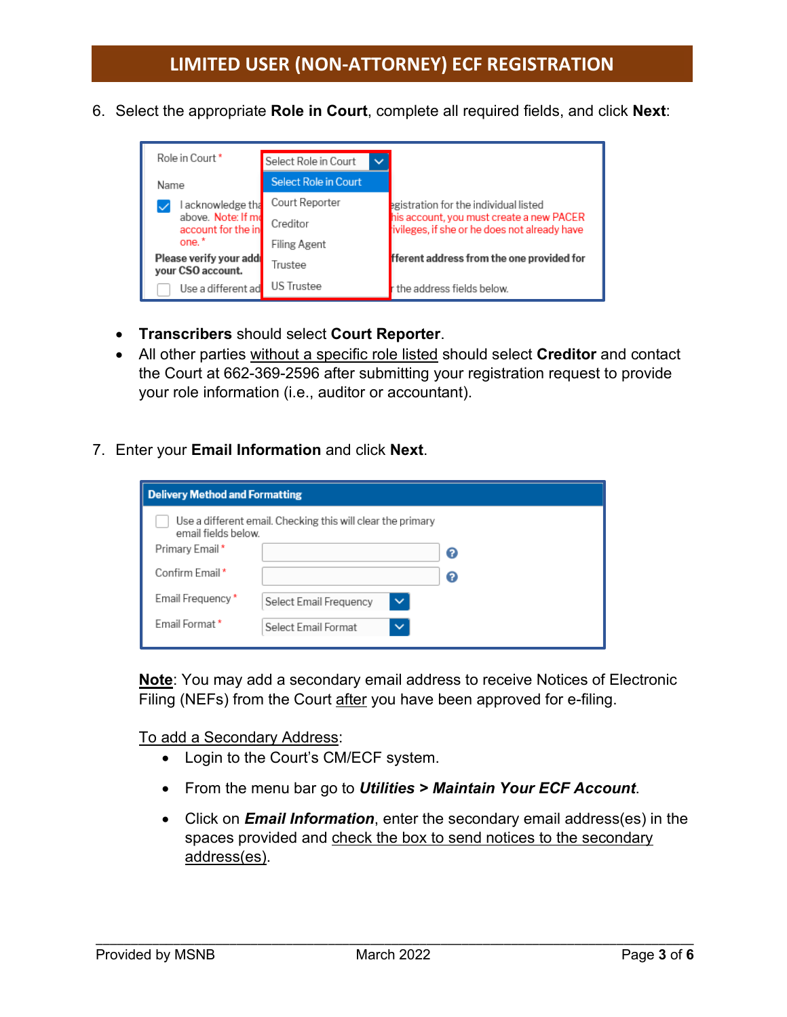6. Select the appropriate **Role in Court**, complete all required fields, and click **Next**:



- **Transcribers** should select **Court Reporter**.
- All other parties without a specific role listed should select **Creditor** and contact the Court at 662-369-2596 after submitting your registration request to provide your role information (i.e., auditor or accountant).
- 7. Enter your **Email Information** and click **Next**.

| <b>Delivery Method and Formatting</b>                                              |                                        |   |  |  |
|------------------------------------------------------------------------------------|----------------------------------------|---|--|--|
| Use a different email. Checking this will clear the primary<br>email fields below. |                                        |   |  |  |
| Primary Email*                                                                     |                                        | Ω |  |  |
| Confirm Email*                                                                     |                                        | Ω |  |  |
| Email Frequency*                                                                   | $\checkmark$<br>Select Email Frequency |   |  |  |
| Email Format*                                                                      | Select Email Format<br>$\checkmark$    |   |  |  |

**Note**: You may add a secondary email address to receive Notices of Electronic Filing (NEFs) from the Court after you have been approved for e-filing.

To add a Secondary Address:

- Login to the Court's CM/ECF system.
- From the menu bar go to *Utilities > Maintain Your ECF Account*.
- Click on *Email Information*, enter the secondary email address(es) in the spaces provided and check the box to send notices to the secondary address(es).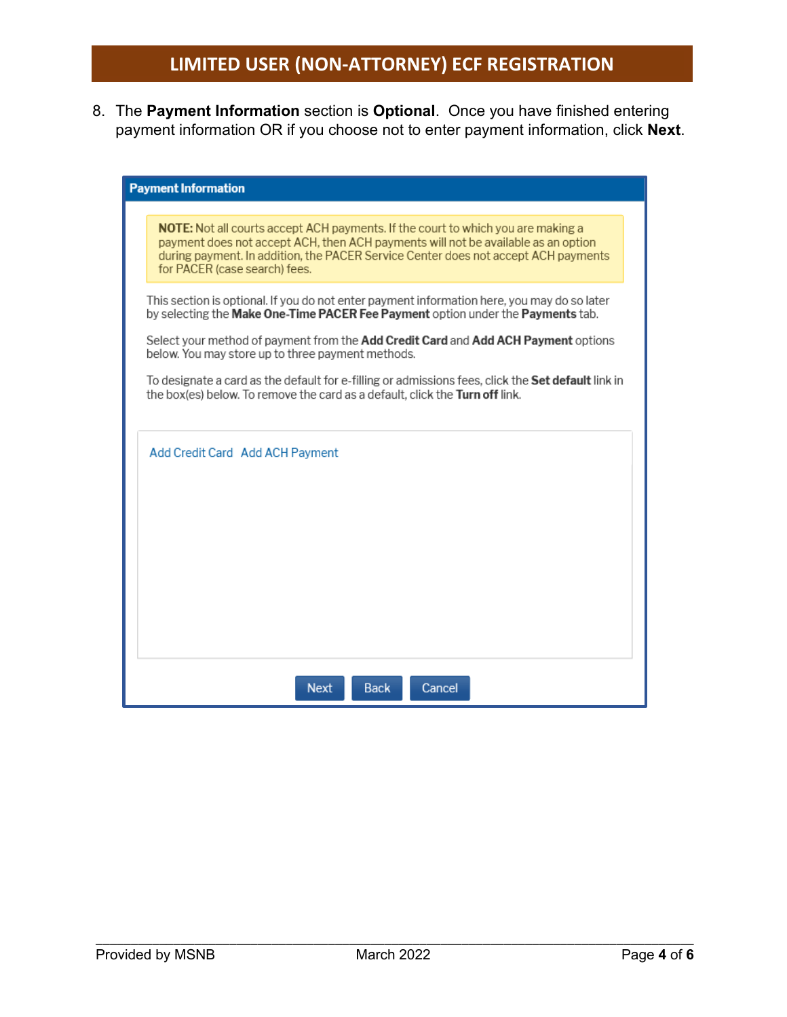8. The **Payment Information** section is **Optional**. Once you have finished entering payment information OR if you choose not to enter payment information, click **Next**.

| <b>Payment Information</b>                                                                                                                                                                                                                                                                          |  |  |  |
|-----------------------------------------------------------------------------------------------------------------------------------------------------------------------------------------------------------------------------------------------------------------------------------------------------|--|--|--|
| <b>NOTE:</b> Not all courts accept ACH payments. If the court to which you are making a<br>payment does not accept ACH, then ACH payments will not be available as an option<br>during payment. In addition, the PACER Service Center does not accept ACH payments<br>for PACER (case search) fees. |  |  |  |
| This section is optional. If you do not enter payment information here, you may do so later<br>by selecting the Make One-Time PACER Fee Payment option under the Payments tab.                                                                                                                      |  |  |  |
| Select your method of payment from the Add Credit Card and Add ACH Payment options<br>below. You may store up to three payment methods.                                                                                                                                                             |  |  |  |
| To designate a card as the default for e-filling or admissions fees, click the <b>Set default</b> link in<br>the box(es) below. To remove the card as a default, click the Turn off link.                                                                                                           |  |  |  |
| Add Credit Card Add ACH Payment                                                                                                                                                                                                                                                                     |  |  |  |
|                                                                                                                                                                                                                                                                                                     |  |  |  |
| <b>Back</b><br><b>Next</b><br>Cancel                                                                                                                                                                                                                                                                |  |  |  |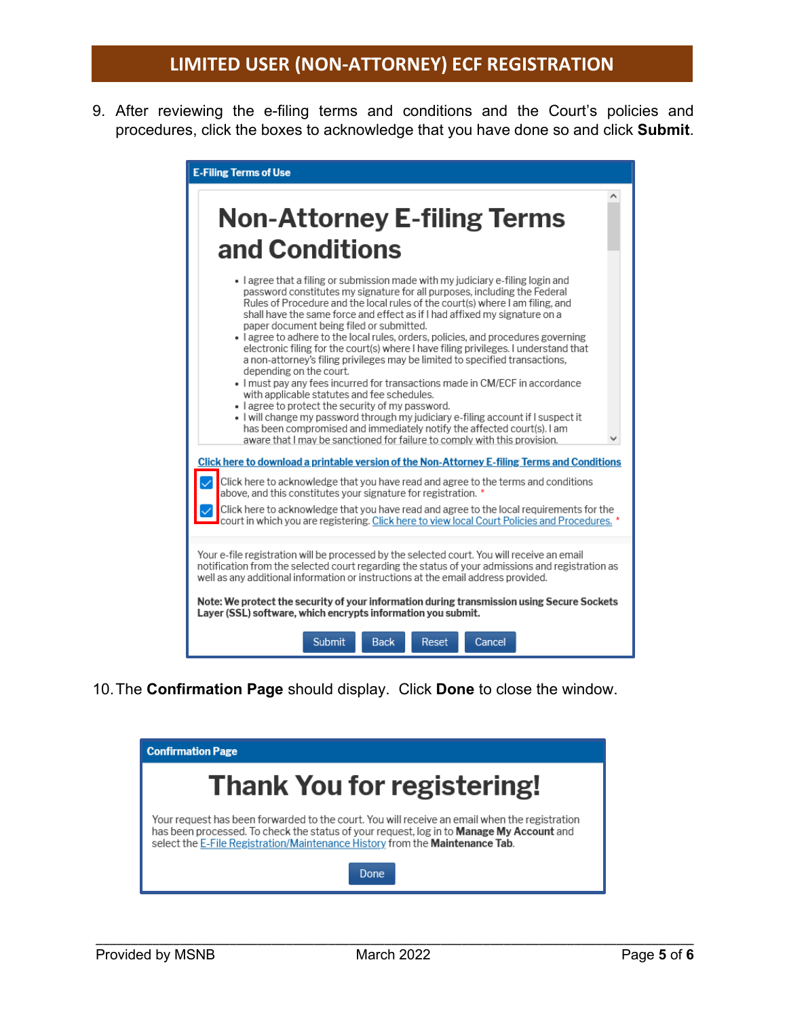9. After reviewing the e-filing terms and conditions and the Court's policies and procedures, click the boxes to acknowledge that you have done so and click **Submit**.



10.The **Confirmation Page** should display. Click **Done** to close the window.